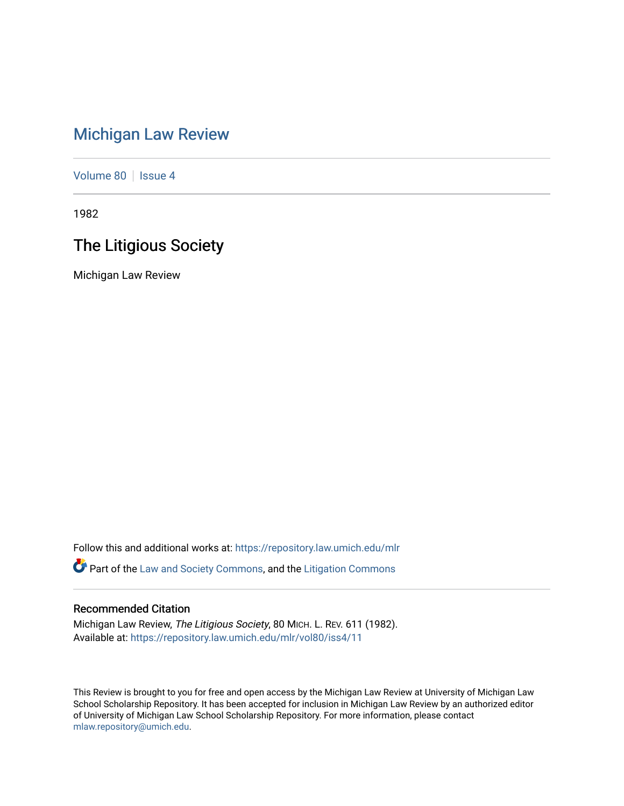## [Michigan Law Review](https://repository.law.umich.edu/mlr)

[Volume 80](https://repository.law.umich.edu/mlr/vol80) | [Issue 4](https://repository.law.umich.edu/mlr/vol80/iss4)

1982

## The Litigious Society

Michigan Law Review

Follow this and additional works at: [https://repository.law.umich.edu/mlr](https://repository.law.umich.edu/mlr?utm_source=repository.law.umich.edu%2Fmlr%2Fvol80%2Fiss4%2F11&utm_medium=PDF&utm_campaign=PDFCoverPages)  **P** Part of the [Law and Society Commons](http://network.bepress.com/hgg/discipline/853?utm_source=repository.law.umich.edu%2Fmlr%2Fvol80%2Fiss4%2F11&utm_medium=PDF&utm_campaign=PDFCoverPages), and the [Litigation Commons](http://network.bepress.com/hgg/discipline/910?utm_source=repository.law.umich.edu%2Fmlr%2Fvol80%2Fiss4%2F11&utm_medium=PDF&utm_campaign=PDFCoverPages)

## Recommended Citation

Michigan Law Review, The Litigious Society, 80 MICH. L. REV. 611 (1982). Available at: [https://repository.law.umich.edu/mlr/vol80/iss4/11](https://repository.law.umich.edu/mlr/vol80/iss4/11?utm_source=repository.law.umich.edu%2Fmlr%2Fvol80%2Fiss4%2F11&utm_medium=PDF&utm_campaign=PDFCoverPages) 

This Review is brought to you for free and open access by the Michigan Law Review at University of Michigan Law School Scholarship Repository. It has been accepted for inclusion in Michigan Law Review by an authorized editor of University of Michigan Law School Scholarship Repository. For more information, please contact [mlaw.repository@umich.edu.](mailto:mlaw.repository@umich.edu)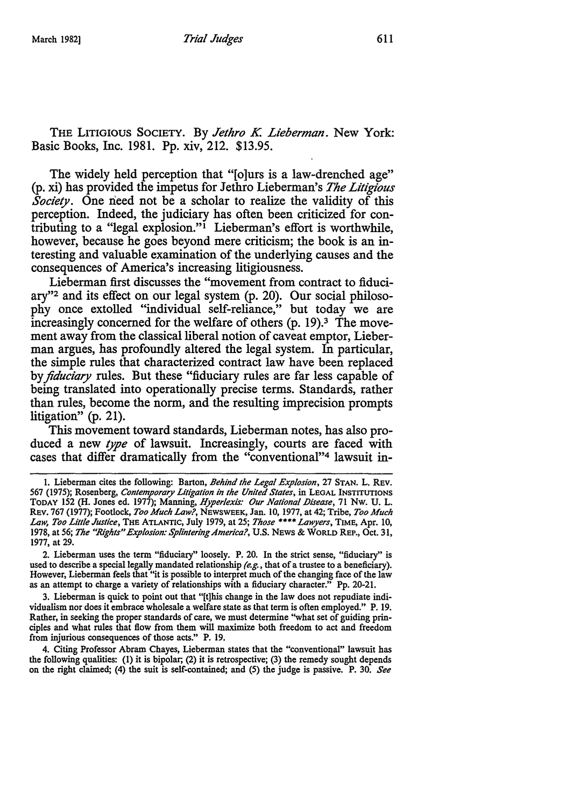THE LITIGIOUS SOCIETY. By *Jethro K Lieberman.* New York: Basic Books, Inc. 1981. Pp. xiv, 212. \$13.95.

The widely held perception that "[o]urs is a law-drenched age" (p. xi) has provided the impetus for Jethro Lieberman's *The Litigious Society*. One need not be a scholar to realize the validity of this perception. Indeed, the judiciary has often been criticized for contributing to a "legal explosion."<sup> $i$ </sup> Lieberman's effort is worthwhile, however, because he goes beyond mere criticism; the book is an interesting and valuable examination of the underlying causes and the consequences of America's increasing litigiousness.

Lieberman first discusses the "movement from contract to fiduciary"2 and its effect on our legal system (p. 20). Our social philosophy once extolled "individual self-reliance," but today we are increasingly concerned for the welfare of others  $(p. 19)<sup>3</sup>$ . The movement away from the classical liberal notion of caveat emptor, Lieberman argues, has profoundly altered the legal system. In particular, the simple rules that characterized contract law have been replaced by *fiduciary* rules. But these "fiduciary rules are far less capable of being translated into operationally precise terms. Standards, rather than rules, become the norm, and the resulting imprecision prompts litigation" (p. 21).

This movement toward standards, Lieberman notes, has also produced a new *type* of lawsuit. Increasingly, courts are faced with cases that differ dramatically from the "conventional"4 lawsuit in-

2. Lieberman uses the term "fiduciary" loosely. P. 20. In the strict sense, "fiduciary" is used to describe a special legally mandated relationship *(e.g.,* that of a trustee to a beneficiary). However, Lieberman feels that "it is possible to interpret much of the changing face of the law as an attempt to charge a variety of relationships with a fiduciary character." Pp. 20-21.

3. Lieberman is quick to point out that "[t]his change in the law does not repudiate individualism nor does it embrace wholesale a welfare state as that term is often employed." P. 19. Rather, in seeking the proper standards of care, we must determine "what set of guiding principles and what rules that flow from them will maximize both freedom to act and freedom from injurious consequences of those acts." P. 19.

4. Citing Professor Abram Chayes, Lieberman states that the "conventional" lawsuit has the following qualities: (1) it is bipolar; (2) it is retrospective; (3) the remedy sought depends on the right claimed; (4) the suit is self-contained; and (5) the judge is passive. P. 30. *See* 

<sup>1.</sup> Lieberman cites the following: Barton, *Behind the Legal Explosion,* 27 STAN. L. REV. 567 (1975); Rosenberg, *Contemporary Litigation in the United Stales,* in LEGAL INSTITUTIONS TODAY 152 (H. Jones ed. 1977); Manning, *Hyperlexis: Our National Disease*, 71 Nw. U. L. REV. 767 (1977); Footlock, *Too Much Law?,* NEWSWEEK, Jan. 10, 1977, at 42; Tribe, *Too Much Law, Too Little Justice,* THE ATLANTIC, July 1979, at 25; *Those* \*\*\*\* *Lawyers,* TIME, Apr. 10, 1978, at 56; *The "Rights" Explosion: Splintering America?,* U.S. NEWS & WORLD REP., Oct. 31, 1977, at 29.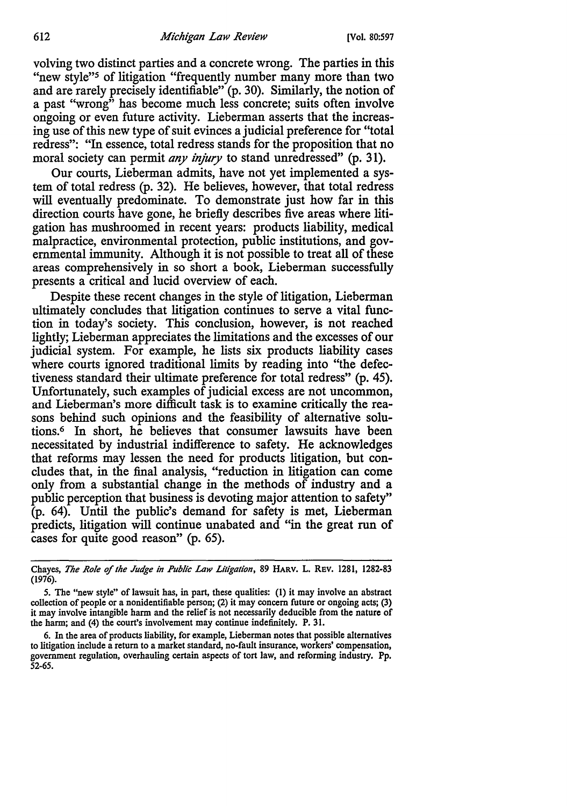volving two distinct parties and a concrete wrong. The parties in this "new style"5 of litigation "frequently number many more than two and are rarely precisely identifiable" (p. 30). Similarly, the notion of a past "wrong" has become much less concrete; suits often involve ongoing or even future activity. Lieberman asserts that the increasing use of this new type of suit evinces a judicial preference for "total redress": "In essence, total redress stands for the proposition that no moral society can permit *any injury* to stand unredressed" (p. 31).

Our courts, Lieberman admits, have not yet implemented a system of total redress (p. 32). He believes, however, that total redress will eventually predominate. To demonstrate just how far in this direction courts have gone, he briefly describes five areas where litigation has mushroomed in recent years: products liability, medical malpractice, environmental protection, public institutions, and governmental immunity. Although it is not possible to treat all of these areas comprehensively in so short a book, Lieberman successfully presents a critical and lucid overview of each.

Despite these recent changes in the style of litigation, Lieberman ultimately concludes that litigation continues to serve a vital function in today's society. This conclusion, however, is not reached lightly; Lieberman appreciates the limitations and the excesses of our judicial system. For example, he lists six products liability cases where courts ignored traditional limits by reading into "the defectiveness standard their ultimate preference for total redress" (p. 45). Unfortunately, such examples of judicial excess are not uncommon, and Lieberman's more difficult task is to examine critically the reasons behind such opinions and the feasibility of alternative solutions.<sup>6</sup> In short, he believes that consumer lawsuits have been necessitated by industrial indifference to safety. He acknowledges that reforms may lessen the need for products litigation, but concludes that, in the final analysis, "reduction in litigation can come only from a substantial change in the methods of industry and a public perception that business is devoting major attention to safety" (p. 64). Until the public's demand for safety is met, Lieberman predicts, litigation will continue unabated and "in the great run of cases for quite good reason" (p. 65).

Chayes, *The Role of the Judge in Public Law Litigation,* 89 HARV. L. REV. 1281, 1282-83 (1976).

*<sup>5.</sup>* The "new style" of lawsuit has, in part, these qualities: (I) it may involve an abstract collection of people or a nonidentifiable person; (2) it may concern future or ongoing acts; (3) it may involve intangible harm and the relief is not necessarily deducible from the nature of the harm; and (4) the court's involvement may continue indefinitely. P. 31.

<sup>6.</sup> In the area of products liability, for example, Lieberman notes that possible alternatives to litigation include a return to a market standard, no-fault insurance, workers' compensation, government regulation, overhauling certain aspects of tort law, and reforming industry. Pp. 52-65.